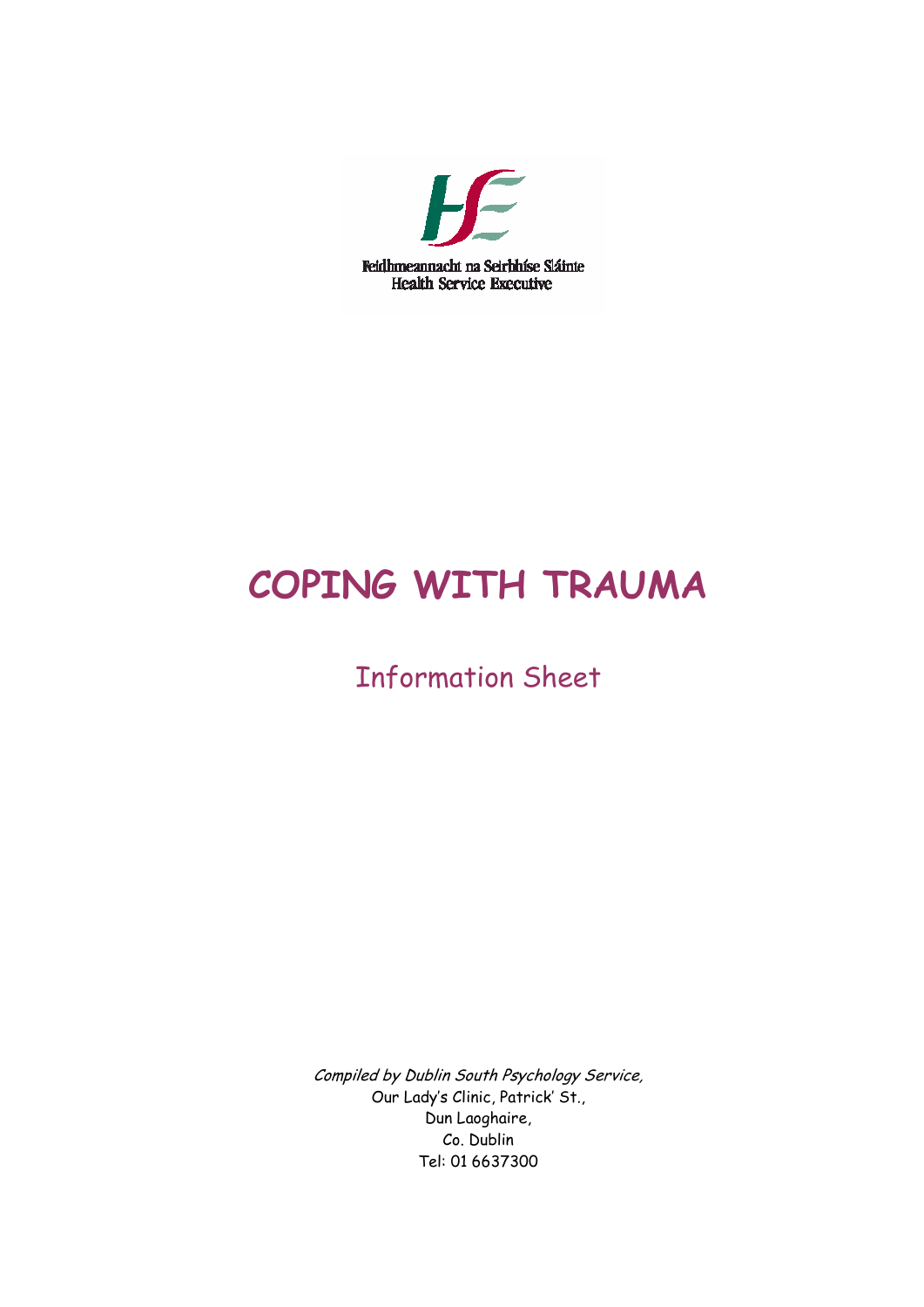

# **COPING WITH TRAUMA**

# Information Sheet

Compiled by Dublin South Psychology Service, Our Lady's Clinic, Patrick' St., Dun Laoghaire, Co. Dublin Tel: 01 6637300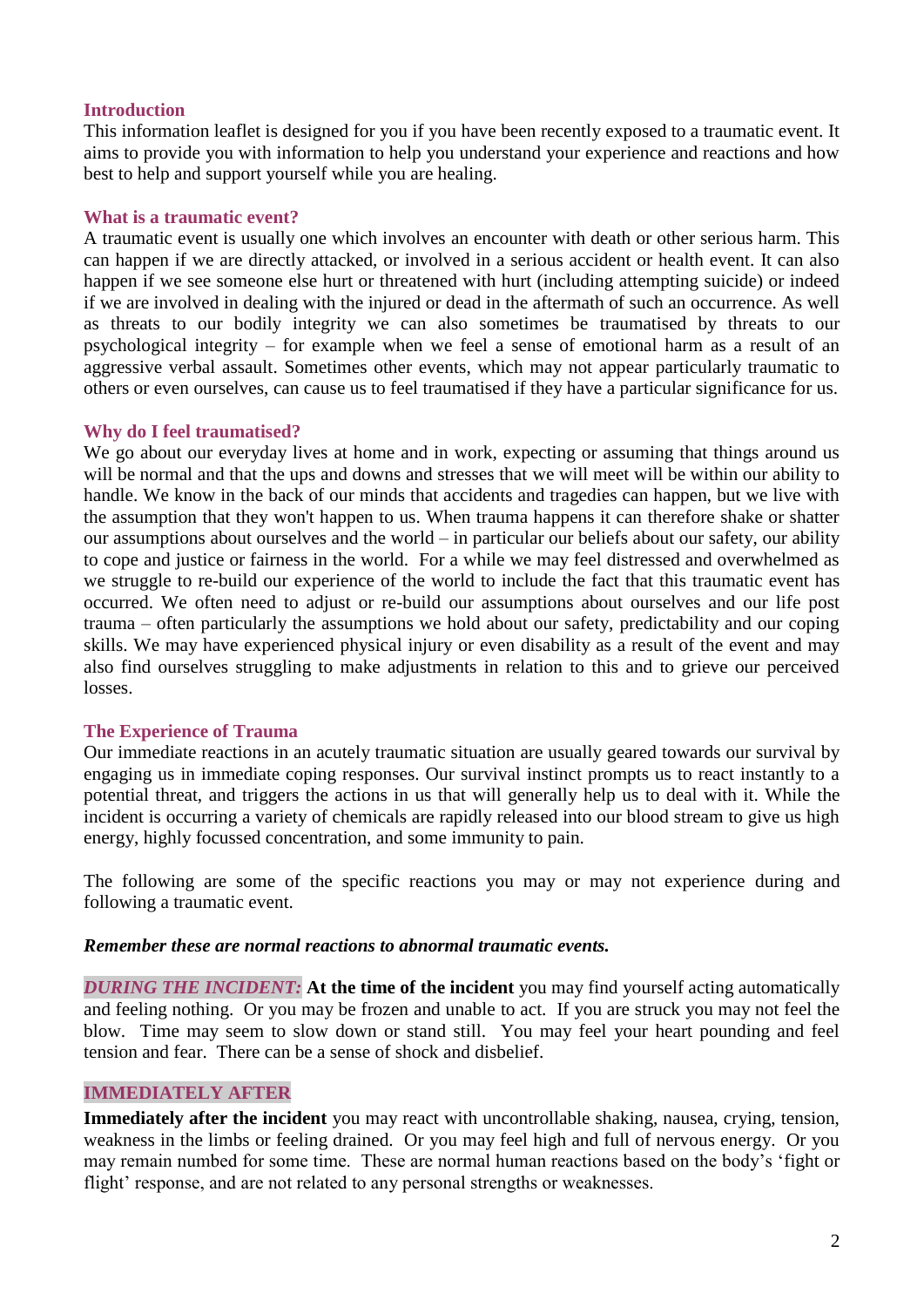#### **Introduction**

This information leaflet is designed for you if you have been recently exposed to a traumatic event. It aims to provide you with information to help you understand your experience and reactions and how best to help and support yourself while you are healing.

#### **What is a traumatic event?**

A traumatic event is usually one which involves an encounter with death or other serious harm. This can happen if we are directly attacked, or involved in a serious accident or health event. It can also happen if we see someone else hurt or threatened with hurt (including attempting suicide) or indeed if we are involved in dealing with the injured or dead in the aftermath of such an occurrence. As well as threats to our bodily integrity we can also sometimes be traumatised by threats to our psychological integrity – for example when we feel a sense of emotional harm as a result of an aggressive verbal assault. Sometimes other events, which may not appear particularly traumatic to others or even ourselves, can cause us to feel traumatised if they have a particular significance for us.

#### **Why do I feel traumatised?**

We go about our everyday lives at home and in work, expecting or assuming that things around us will be normal and that the ups and downs and stresses that we will meet will be within our ability to handle. We know in the back of our minds that accidents and tragedies can happen, but we live with the assumption that they won't happen to us. When trauma happens it can therefore shake or shatter our assumptions about ourselves and the world – in particular our beliefs about our safety, our ability to cope and justice or fairness in the world. For a while we may feel distressed and overwhelmed as we struggle to re-build our experience of the world to include the fact that this traumatic event has occurred. We often need to adjust or re-build our assumptions about ourselves and our life post trauma – often particularly the assumptions we hold about our safety, predictability and our coping skills. We may have experienced physical injury or even disability as a result of the event and may also find ourselves struggling to make adjustments in relation to this and to grieve our perceived losses.

#### **The Experience of Trauma**

Our immediate reactions in an acutely traumatic situation are usually geared towards our survival by engaging us in immediate coping responses. Our survival instinct prompts us to react instantly to a potential threat, and triggers the actions in us that will generally help us to deal with it. While the incident is occurring a variety of chemicals are rapidly released into our blood stream to give us high energy, highly focussed concentration, and some immunity to pain.

The following are some of the specific reactions you may or may not experience during and following a traumatic event.

#### *Remember these are normal reactions to abnormal traumatic events.*

**DURING THE INCIDENT:** At the time of the incident you may find yourself acting automatically and feeling nothing. Or you may be frozen and unable to act. If you are struck you may not feel the blow. Time may seem to slow down or stand still. You may feel your heart pounding and feel tension and fear. There can be a sense of shock and disbelief.

#### **IMMEDIATELY AFTER**

**Immediately after the incident** you may react with uncontrollable shaking, nausea, crying, tension, weakness in the limbs or feeling drained. Or you may feel high and full of nervous energy. Or you may remain numbed for some time. These are normal human reactions based on the body's 'fight or flight' response, and are not related to any personal strengths or weaknesses.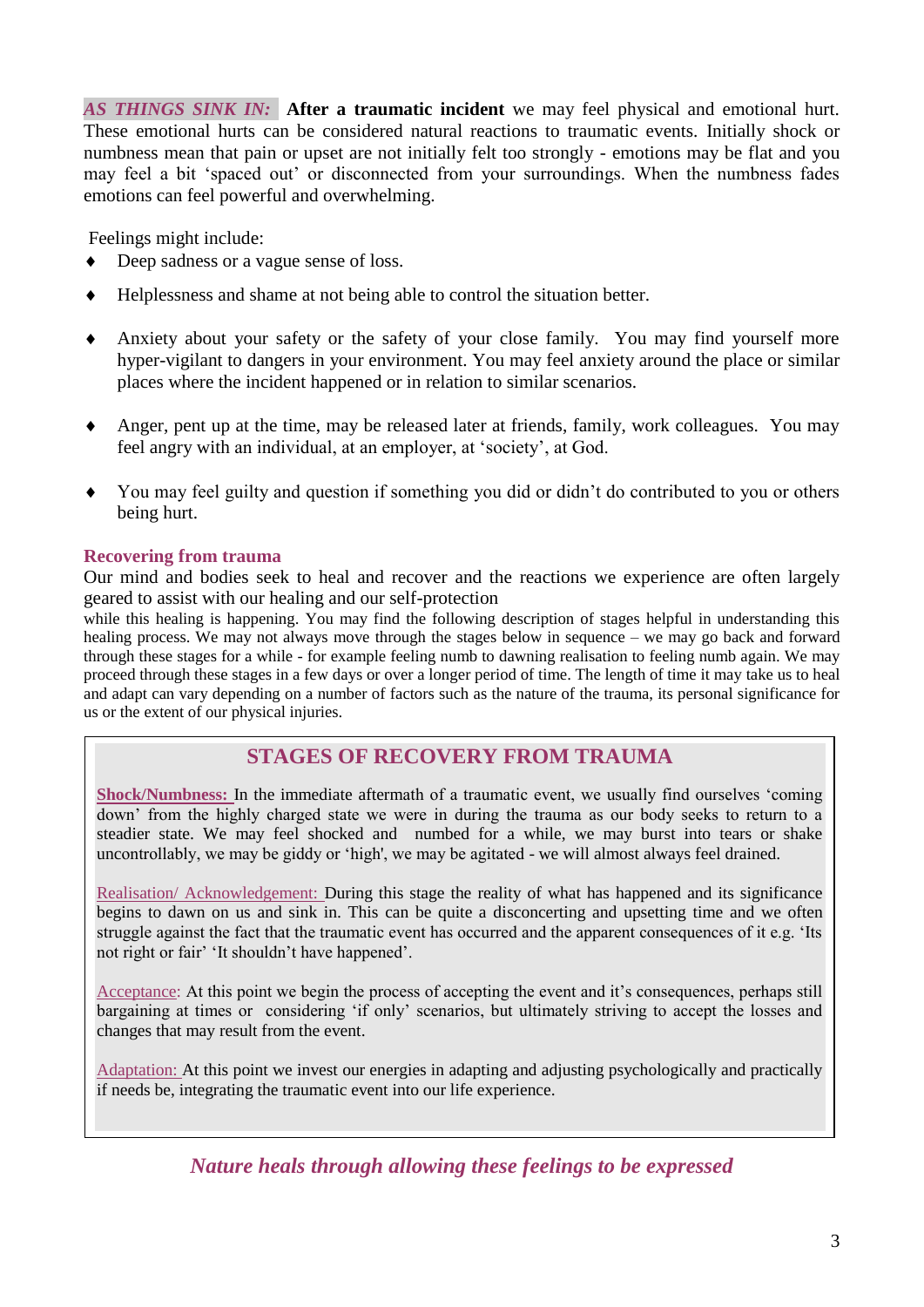*AS THINGS SINK IN:* **After a traumatic incident** we may feel physical and emotional hurt. These emotional hurts can be considered natural reactions to traumatic events. Initially shock or numbness mean that pain or upset are not initially felt too strongly - emotions may be flat and you may feel a bit 'spaced out' or disconnected from your surroundings. When the numbness fades emotions can feel powerful and overwhelming.

Feelings might include:

- Deep sadness or a vague sense of loss.
- Helplessness and shame at not being able to control the situation better.
- Anxiety about your safety or the safety of your close family. You may find yourself more hyper-vigilant to dangers in your environment. You may feel anxiety around the place or similar places where the incident happened or in relation to similar scenarios.
- Anger, pent up at the time, may be released later at friends, family, work colleagues. You may feel angry with an individual, at an employer, at 'society', at God.
- You may feel guilty and question if something you did or didn't do contributed to you or others being hurt.

#### **Recovering from trauma**

Our mind and bodies seek to heal and recover and the reactions we experience are often largely geared to assist with our healing and our self-protection

while this healing is happening. You may find the following description of stages helpful in understanding this healing process. We may not always move through the stages below in sequence – we may go back and forward through these stages for a while - for example feeling numb to dawning realisation to feeling numb again. We may proceed through these stages in a few days or over a longer period of time. The length of time it may take us to heal and adapt can vary depending on a number of factors such as the nature of the trauma, its personal significance for us or the extent of our physical injuries.

### **STAGES OF RECOVERY FROM TRAUMA**

**Shock/Numbness:** In the immediate aftermath of a traumatic event, we usually find ourselves 'coming down' from the highly charged state we were in during the trauma as our body seeks to return to a steadier state. We may feel shocked and numbed for a while, we may burst into tears or shake uncontrollably, we may be giddy or 'high', we may be agitated - we will almost always feel drained.

Realisation/ Acknowledgement: During this stage the reality of what has happened and its significance begins to dawn on us and sink in. This can be quite a disconcerting and upsetting time and we often struggle against the fact that the traumatic event has occurred and the apparent consequences of it e.g. 'Its not right or fair' 'It shouldn't have happened'.

Acceptance: At this point we begin the process of accepting the event and it's consequences, perhaps still bargaining at times or considering 'if only' scenarios, but ultimately striving to accept the losses and changes that may result from the event.

Adaptation: At this point we invest our energies in adapting and adjusting psychologically and practically if needs be, integrating the traumatic event into our life experience.

*Nature heals through allowing these feelings to be expressed*